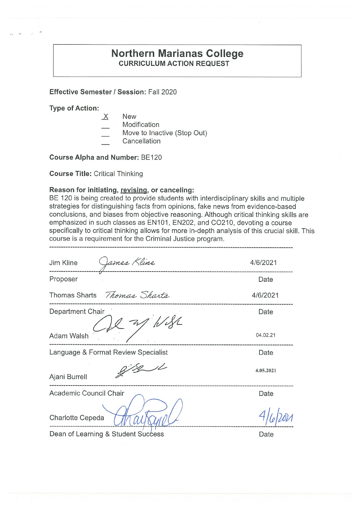## **Northern Marianas College CURRICULUM ACTION REQUEST**

**Effective Semester/ Session:** Fall 2020

**Type of Action:** 

- $X$  New
	- Modification
- Move to Inactive (Stop Out)
- Cancellation

**Course Alpha and Number:** BE120

**Course Title:** Critical Thinking

#### **Reason for initiating, revising, or canceling:**

BE 120 is being created to provide students with interdisciplinary skills and multiple strategies for distinguishing facts from opinions, fake news from evidence-based conclusions, and biases from objective reasoning. Although critical thinking skills are emphasized in such classes as EN101, EN202, and CO210, devoting a course specifically to critical thinking allows for more in-depth analysis of this crucial skill. This course is a requirement for the Criminal Justice program.

| James Kline<br>Jim Kline            | 4/6/2021  |
|-------------------------------------|-----------|
| Proposer                            | Date      |
| Thomas Sharts<br>Thomas Sharts      | 4/6/2021  |
| Department Chair                    | Date      |
| Adam Walsh                          | 04.02.21  |
| Language & Format Review Specialist | Date      |
| Ajani Burrell                       | 4.05.2021 |
| Academic Council Chair              | Date      |
| Charlotte Cepeda                    |           |

Dean of Learning & Student Success **Example 2** Date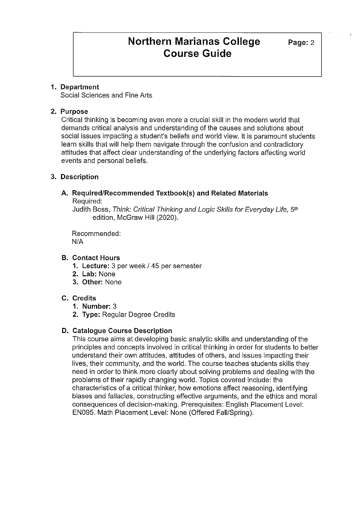#### **1. Department**

Social Sciences and Fine Arts

#### **2. Purpose**

Critical thinking is becoming even more a crucial skill in the modern world that demands critical analysis and understanding of the causes and solutions about social issues impacting a student's beliefs and world view. It is paramount students learn skills that will help them navigate through the confusion and contradictory attitudes that affect clear understanding of the underlying factors affecting world events and personal beliefs.

#### **3. Description**

#### **A. Required/Recommended Textbook(s) and Related Materials**  Required:

Judith Boss, Think: Critical Thinking and Logic Skills for Everyday Life, 5th edition, McGraw Hill (2020).

Recommended: N/A

#### **B. Contact Hours**

- **1. Lecture:** 3 per week/ 45 per semester
- **2. Lab:** None
- **3. Other:** None

### **C. Credits**

- **1. Number:** 3
- **2. Type:** Regular Degree Credits

#### **D. Catalogue Course Description**

This course aims at developing basic analytic skills and understanding of the principles and concepts involved in critical thinking in order for students to better understand their own attitudes, attitudes of others, and issues impacting their lives, their community, and the world. The course teaches students skills they need in order to think more clearly about solving problems and dealing with the problems of their rapidly changing world. Topics covered include: the characteristics of a critical thinker, how emotions affect reasoning, identifying biases and fallacies, constructing effective arguments, and the ethics and moral consequences of decision-making. Prerequisites: English Placement Level: EN095. Math Placement Level: None (Offered Fall/Spring).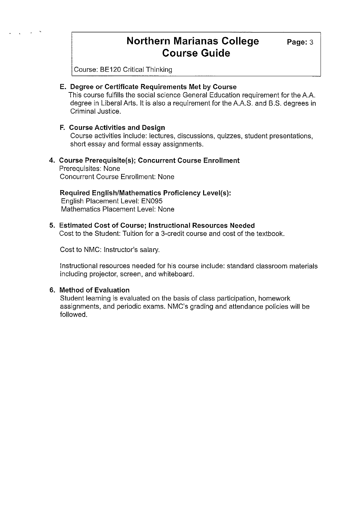# **Northern Marianas College Page: 3 Course Guide**

Course: BE120 Critical Thinking

### **E. Degree or Certificate Requirements Met by Course**

This course fulfills the social science General Education requirement for the A.A. degree in Liberal Arts. It is also a requirement for the A.A.S. and B.S. degrees in Criminal Justice.

### **F. Course Activities and Design**

Course activities include: lectures, discussions, quizzes, student presentations, short essay and formal essay assignments.

### **4. Course Prerequisite(s); Concurrent Course Enrollment**

Prerequisites: None Concurrent Course Enrollment: None

### **Required English/Mathematics Proficiency Level(s):**

English Placement Level: EN095 Mathematics Placement Level: None

#### **5. Estimated Cost of Course; Instructional Resources Needed**

Cost to the Student: Tuition for a 3-credit course and cost of the textbook.

Cost to NMC: Instructor's salary.

Instructional resources needed for his course include: standard classroom materials including projector, screen, and whiteboard.

### **6. Method of Evaluation**

Student learning is evaluated on the basis of class participation, homework assignments, and periodic exams. NMC's grading and attendance policies **will**be followed.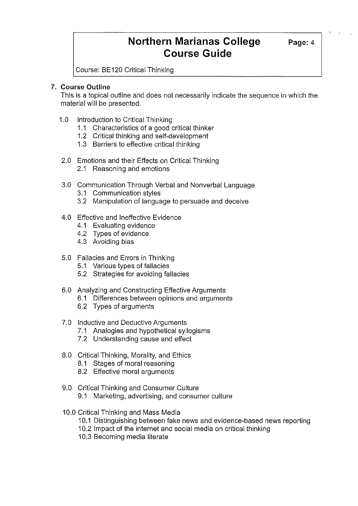# **Northern Marianas College** Page: 4 **Course Guide**

Course: BE120 Critical Thinking

### **7. Course Outline**

This is a topical outline and does not necessarily indicate the sequence in which the material will be presented.

- 1.0 Introduction to Critical Thinking
	- 1.1 Characteristics of a good critical thinker
	- 1.2 Critical thinking and self-development
	- 1.3 Barriers to effective critical thinking
- 2.0 Emotions and their Effects on Critical Thinking
	- 2.1 Reasoning and emotions
- 3.0 Communication Through Verbal and Nonverbal Language
	- 3.1 Communication styles
	- 3.2 Manipulation of language to persuade and deceive
- 4.0 Effective and Ineffective Evidence
	- 4.1 Evaluating evidence
	- 4.2 Types of evidence
	- 4.3 Avoiding bias
- 5.0 Fallacies and Errors in Thinking
	- 5.1 Various types of fallacies
	- 5.2 Strategies for avoiding fallacies
- 6.0 Analyzing and Constructing Effective Arguments
	- 6.1 Differences between opinions and arguments
	- 6.2 Types of arguments
- 7.0 Inductive and Deductive Arguments
	- 7.1 Analogies and hypothetical syllogisms
	- 7.2 Understanding cause and effect
- 8.0 Critical Thinking, Morality, and Ethics
	- 8.1 Stages of moral reasoning
	- 8.2 Effective moral arguments
- 9.0 Critical Thinking and Consumer Culture
	- 9.1 Marketing, advertising, and consumer culture
- 10.0 Critical Thinking and Mass Media
	- 10.1 Distinguishing between fake news and evidence-based news reporting
	- 10.2 Impact of the internet and social media on critical thinking
	- 10.3 Becoming media literate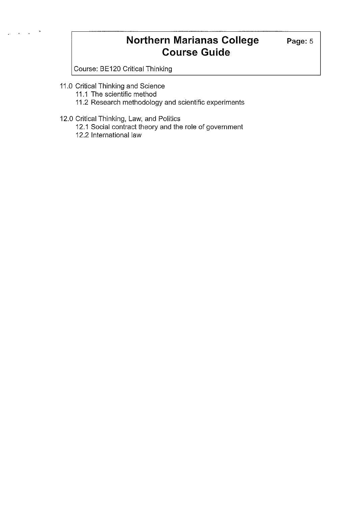# **Northern Marianas College** Page: 5 **Course Guide**

Course: BE120 Critical Thinking

- 11.0 Critical Thinking and Science
	- 11.1 The scientific method
	- 11.2 Research methodology and scientific experiments
- 12.0 Critical Thinking, Law, and Politics
	- 12.1 Social contract theory and the role of government
	- 12.2 International law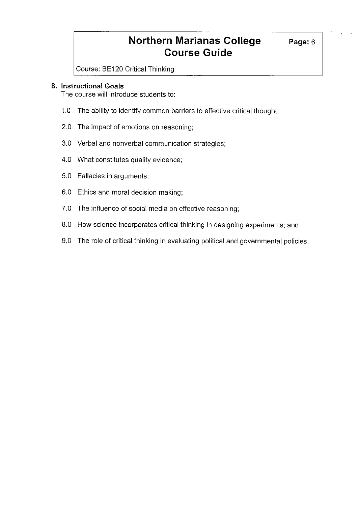# **Northern Marianas College** Page: 6 **Course Guide**

Course: BE120 Critical Thinking

#### **8. Instructional Goals**

The course will introduce students to:

- 1.0 The ability to identify common barriers to effective critical thought;
- 2.0 The impact of emotions on reasoning;
- 3.0 Verbal and nonverbal communication strategies;
- 4.0 What constitutes quality evidence;
- 5.0 Fallacies in arguments;
- 6.0 Ethics and moral decision making;
- 7.0 The influence of social media on effective reasoning;
- 8.0 How science incorporates critical thinking in designing experiments; and
- 9.0 The role of critical thinking in evaluating political and governmental policies.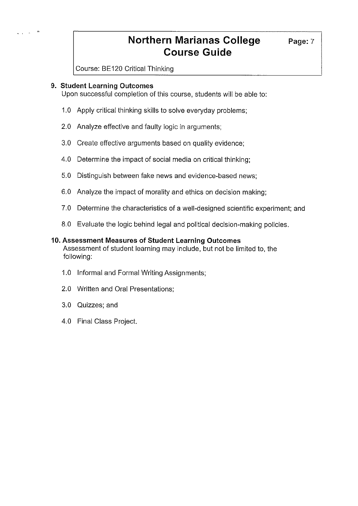# **Northern Marianas College** Page: 7 **Course Guide**

Course: BE120 Critical Thinking

#### **9. Student Learning Outcomes**

Upon successful completion of this course, students will be able to:

- 1.0 Apply critical thinking skills to solve everyday problems;
- 2.0 Analyze effective and faulty logic in arguments;
- 3.0 Create effective arguments based on quality evidence;
- 4.0 Determine the impact of social media on critical thinking;
- 5.0 Distinguish between fake news and evidence-based news;
- 6.0 Analyze the impact of morality and ethics on decision making;
- 7.0 Determine the characteristics of a well-designed scientific experiment; and
- 8.0 Evaluate the logic behind legal and political decision-making policies.

#### **10. Assessment Measures of Student Learning Outcomes**

Assessment of student learning may include, but not be limited to, the following:

- 1.0 Informal and Formal Writing Assignments;
- 2.0 Written and Oral Presentations;
- 3.0 Quizzes; and
- 4.0 Final Class Project.